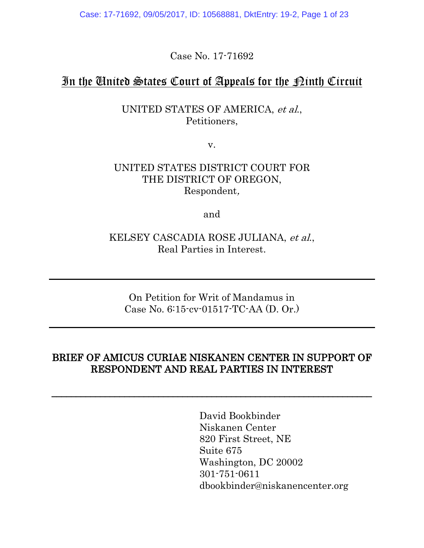Case: 17-71692, 09/05/2017, ID: 10568881, DktEntry: 19-2, Page 1 of 23

Case No. 17-71692

## In the United States Court of Appeals for the Pinth Circuit

UNITED STATES OF AMERICA, et al., Petitioners,

v.

#### UNITED STATES DISTRICT COURT FOR THE DISTRICT OF OREGON, Respondent,

and

#### KELSEY CASCADIA ROSE JULIANA, et al., Real Parties in Interest.

On Petition for Writ of Mandamus in Case No. 6:15-cv-01517-TC-AA (D. Or.)

## BRIEF OF AMICUS CURIAE NISKANEN CENTER IN SUPPORT OF RESPONDENT AND REAL PARTIES IN INTEREST

\_\_\_\_\_\_\_\_\_\_\_\_\_\_\_\_\_\_\_\_\_\_\_\_\_\_\_\_\_\_\_\_\_\_\_\_\_\_\_\_\_\_\_\_\_\_\_\_\_\_\_\_\_\_\_\_\_\_\_\_\_\_\_\_\_\_

David Bookbinder Niskanen Center 820 First Street, NE Suite 675 Washington, DC 20002 301-751-0611 dbookbinder@niskanencenter.org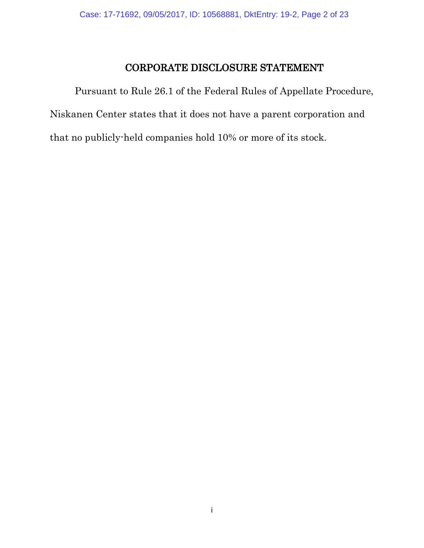## CORPORATE DISCLOSURE STATEMENT

Pursuant to Rule 26.1 of the Federal Rules of Appellate Procedure, Niskanen Center states that it does not have a parent corporation and that no publicly-held companies hold 10% or more of its stock.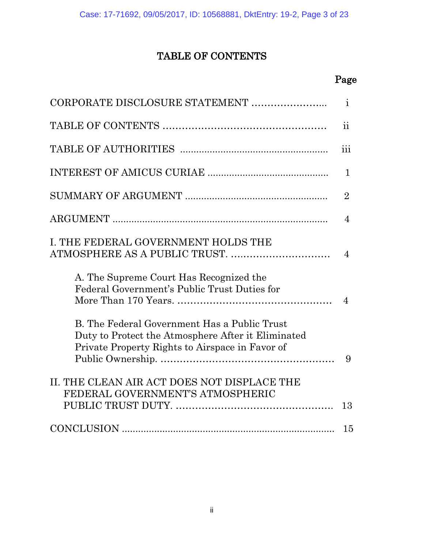# TABLE OF CONTENTS

## **Page**

|                                                                                                                                                       | $\mathbf{i}$            |
|-------------------------------------------------------------------------------------------------------------------------------------------------------|-------------------------|
|                                                                                                                                                       | $\overline{\mathbf{u}}$ |
|                                                                                                                                                       | $\ldots$<br>111         |
|                                                                                                                                                       | $\mathbf{1}$            |
|                                                                                                                                                       | $\overline{2}$          |
|                                                                                                                                                       | 4                       |
| I. THE FEDERAL GOVERNMENT HOLDS THE                                                                                                                   | 4                       |
| A. The Supreme Court Has Recognized the<br>Federal Government's Public Trust Duties for                                                               | $\overline{4}$          |
| B. The Federal Government Has a Public Trust<br>Duty to Protect the Atmosphere After it Eliminated<br>Private Property Rights to Airspace in Favor of | 9                       |
| II. THE CLEAN AIR ACT DOES NOT DISPLACE THE<br>FEDERAL GOVERNMENT'S ATMOSPHERIC                                                                       | 13                      |
|                                                                                                                                                       | 15                      |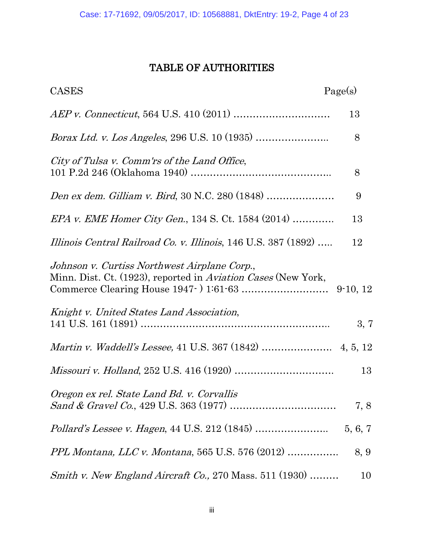### TABLE OF AUTHORITIES

| Page(s)<br><b>CASES</b>                                                                                       |         |
|---------------------------------------------------------------------------------------------------------------|---------|
|                                                                                                               | 13      |
| <i>Borax Ltd. v. Los Angeles, 296 U.S. 10 (1935) </i>                                                         | 8       |
| City of Tulsa v. Comm'rs of the Land Office,                                                                  | 8       |
|                                                                                                               | 9       |
| <i>EPA v. EME Homer City Gen.</i> , 134 S. Ct. 1584 $(2014)$                                                  | 13      |
| Illinois Central Railroad Co. v. Illinois, 146 U.S. 387 (1892)                                                | 12      |
| Johnson v. Curtiss Northwest Airplane Corp.,<br>Minn. Dist. Ct. (1923), reported in Aviation Cases (New York, |         |
| Knight v. United States Land Association,                                                                     | 3, 7    |
|                                                                                                               |         |
|                                                                                                               | 13      |
| Oregon ex rel. State Land Bd. v. Corvallis                                                                    | 7, 8    |
|                                                                                                               | 5, 6, 7 |
| <i>PPL Montana, LLC v. Montana, 565 U.S. 576 (2012) </i>                                                      | 8, 9    |
| Smith v. New England Aircraft Co., 270 Mass. $511$ (1930)                                                     | 10      |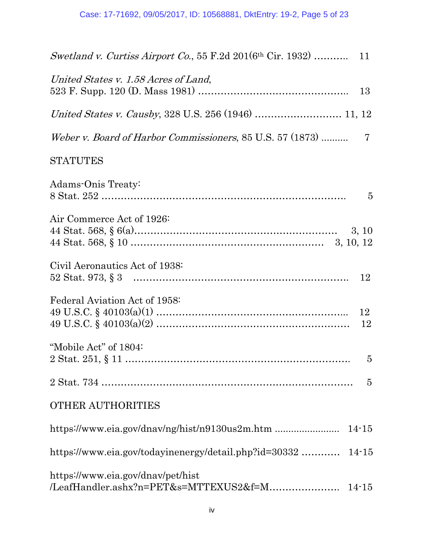| United States v. 1.58 Acres of Land,<br>13                                  |
|-----------------------------------------------------------------------------|
|                                                                             |
| Weber v. Board of Harbor Commissioners, 85 U.S. 57 (1873)<br>$\overline{7}$ |
| <b>STATUTES</b>                                                             |
| Adams-Onis Treaty:<br>$\overline{5}$                                        |
| Air Commerce Act of 1926:                                                   |
| Civil Aeronautics Act of 1938:                                              |
| Federal Aviation Act of 1958:<br>12                                         |
| "Mobile Act" of 1804:<br>Ð                                                  |
| $\overline{5}$                                                              |
| <b>OTHER AUTHORITIES</b>                                                    |
|                                                                             |
| https://www.eia.gov/todayinenergy/detail.php?id=30332<br>$14 - 15$          |
| https://www.eia.gov/dnav/pet/hist                                           |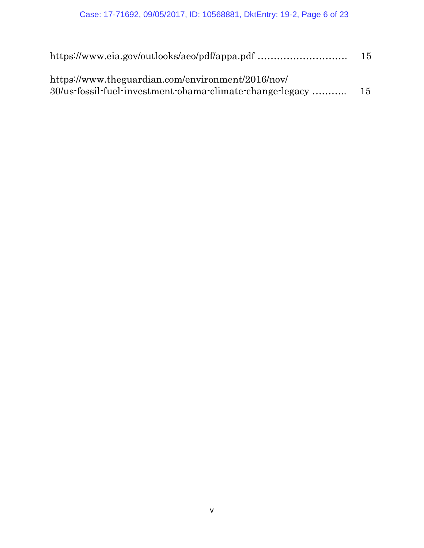| https://www.eia.gov/outlooks/aeo/pdf/appa.pdf                                                                 | 15 |
|---------------------------------------------------------------------------------------------------------------|----|
| https://www.theguardian.com/environment/2016/nov/<br>30/us-fossil-fuel-investment-obama-climate-change-legacy | 15 |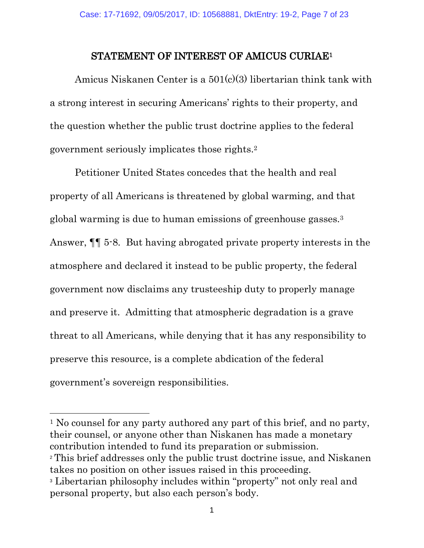#### STATEMENT OF INTEREST OF AMICUS CURIAE<sup>1</sup>

Amicus Niskanen Center is a 501(c)(3) libertarian think tank with a strong interest in securing Americans' rights to their property, and the question whether the public trust doctrine applies to the federal government seriously implicates those rights.<sup>2</sup>

Petitioner United States concedes that the health and real property of all Americans is threatened by global warming, and that global warming is due to human emissions of greenhouse gasses.<sup>3</sup> Answer, ¶¶ 5-8. But having abrogated private property interests in the atmosphere and declared it instead to be public property, the federal government now disclaims any trusteeship duty to properly manage and preserve it. Admitting that atmospheric degradation is a grave threat to all Americans, while denying that it has any responsibility to preserve this resource, is a complete abdication of the federal government's sovereign responsibilities.

<sup>1</sup> No counsel for any party authored any part of this brief, and no party, their counsel, or anyone other than Niskanen has made a monetary contribution intended to fund its preparation or submission.

 $\overline{a}$ 

<sup>2</sup> This brief addresses only the public trust doctrine issue, and Niskanen takes no position on other issues raised in this proceeding.

<sup>3</sup> Libertarian philosophy includes within "property" not only real and personal property, but also each person's body.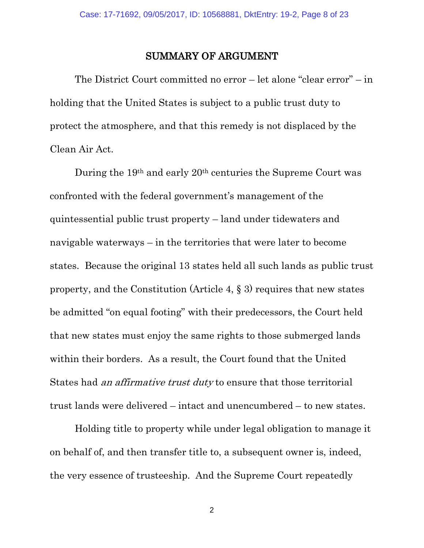#### SUMMARY OF ARGUMENT

The District Court committed no error – let alone "clear error" – in holding that the United States is subject to a public trust duty to protect the atmosphere, and that this remedy is not displaced by the Clean Air Act.

During the 19th and early 20th centuries the Supreme Court was confronted with the federal government's management of the quintessential public trust property – land under tidewaters and navigable waterways – in the territories that were later to become states. Because the original 13 states held all such lands as public trust property, and the Constitution (Article 4, § 3) requires that new states be admitted "on equal footing" with their predecessors, the Court held that new states must enjoy the same rights to those submerged lands within their borders. As a result, the Court found that the United States had an affirmative trust duty to ensure that those territorial trust lands were delivered – intact and unencumbered – to new states.

Holding title to property while under legal obligation to manage it on behalf of, and then transfer title to, a subsequent owner is, indeed, the very essence of trusteeship. And the Supreme Court repeatedly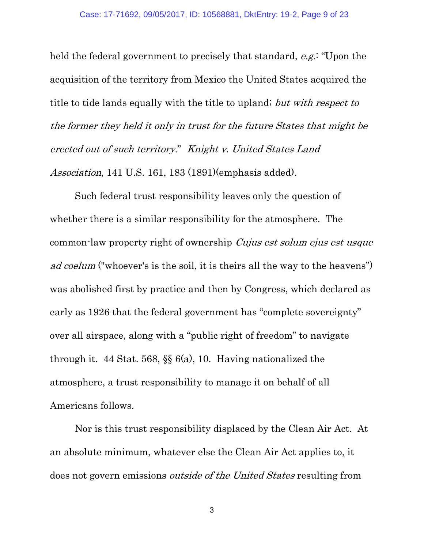held the federal government to precisely that standard, e.g.: "Upon the acquisition of the territory from Mexico the United States acquired the title to tide lands equally with the title to upland; but with respect to the former they held it only in trust for the future States that might be erected out of such territory." Knight v. United States Land Association, 141 U.S. 161, 183 (1891)(emphasis added).

Such federal trust responsibility leaves only the question of whether there is a similar responsibility for the atmosphere. The common-law property right of ownership Cujus est solum ejus est usque ad coelum ("whoever's is the soil, it is theirs all the way to the heavens") was abolished first by practice and then by Congress, which declared as early as 1926 that the federal government has "complete sovereignty" over all airspace, along with a "public right of freedom" to navigate through it. 44 Stat. 568, §§ 6(a), 10. Having nationalized the atmosphere, a trust responsibility to manage it on behalf of all Americans follows.

Nor is this trust responsibility displaced by the Clean Air Act. At an absolute minimum, whatever else the Clean Air Act applies to, it does not govern emissions outside of the United States resulting from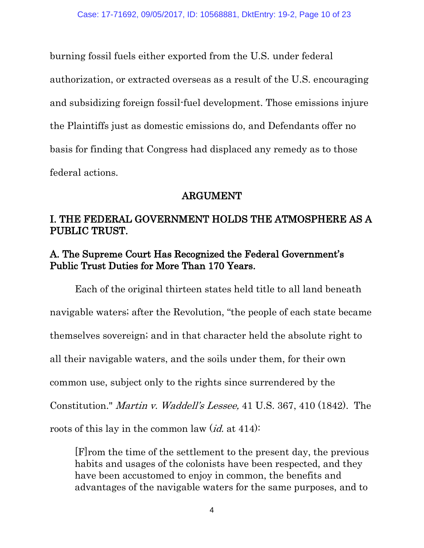burning fossil fuels either exported from the U.S. under federal authorization, or extracted overseas as a result of the U.S. encouraging and subsidizing foreign fossil-fuel development. Those emissions injure the Plaintiffs just as domestic emissions do, and Defendants offer no basis for finding that Congress had displaced any remedy as to those federal actions.

## ARGUMENT

## I. THE FEDERAL GOVERNMENT HOLDS THE ATMOSPHERE AS A PUBLIC TRUST.

## A. The Supreme Court Has Recognized the Federal Government's Public Trust Duties for More Than 170 Years.

Each of the original thirteen states held title to all land beneath navigable waters; after the Revolution, "the people of each state became themselves sovereign; and in that character held the absolute right to all their navigable waters, and the soils under them, for their own common use, subject only to the rights since surrendered by the Constitution." Martin v. Waddell's Lessee, 41 U.S. 367, 410 (1842). The roots of this lay in the common law  $(id. 414)$ :

[F]rom the time of the settlement to the present day, the previous habits and usages of the colonists have been respected, and they have been accustomed to enjoy in common, the benefits and advantages of the navigable waters for the same purposes, and to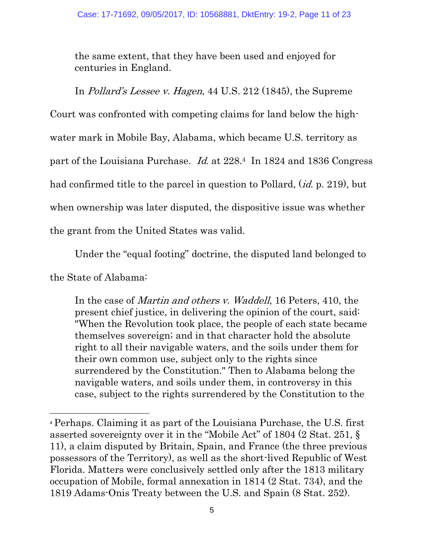the same extent, that they have been used and enjoyed for centuries in England.

In Pollard's Lessee v. Hagen, 44 U.S. 212 (1845), the Supreme

Court was confronted with competing claims for land below the high-

water mark in Mobile Bay, Alabama, which became U.S. territory as

part of the Louisiana Purchase. Id. at 228.4 In 1824 and 1836 Congress

had confirmed title to the parcel in question to Pollard, *(id. p. 219)*, but

when ownership was later disputed, the dispositive issue was whether

the grant from the United States was valid.

Under the "equal footing" doctrine, the disputed land belonged to

the State of Alabama:

 $\overline{a}$ 

In the case of *Martin and others v. Waddell*, 16 Peters, 410, the present chief justice, in delivering the opinion of the court, said: "When the Revolution took place, the people of each state became themselves sovereign; and in that character hold the absolute right to all their navigable waters, and the soils under them for their own common use, subject only to the rights since surrendered by the Constitution." Then to Alabama belong the navigable waters, and soils under them, in controversy in this case, subject to the rights surrendered by the Constitution to the

<sup>4</sup> Perhaps. Claiming it as part of the Louisiana Purchase, the U.S. first asserted sovereignty over it in the "Mobile Act" of 1804 (2 Stat. 251, § 11), a claim disputed by Britain, Spain, and France (the three previous possessors of the Territory), as well as the short-lived Republic of West Florida. Matters were conclusively settled only after the 1813 military occupation of Mobile, formal annexation in 1814 (2 Stat. 734), and the 1819 Adams-Onis Treaty between the U.S. and Spain (8 Stat. 252).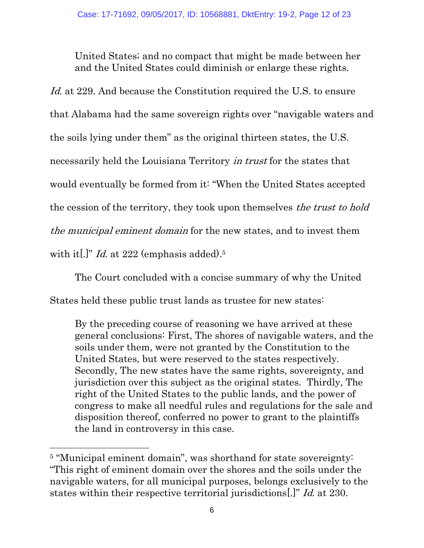United States; and no compact that might be made between her and the United States could diminish or enlarge these rights.

Id. at 229. And because the Constitution required the U.S. to ensure that Alabama had the same sovereign rights over "navigable waters and the soils lying under them" as the original thirteen states, the U.S. necessarily held the Louisiana Territory in trust for the states that would eventually be formed from it: "When the United States accepted the cession of the territory, they took upon themselves *the trust to hold* the municipal eminent domain for the new states, and to invest them with it<sup>[1]</sup>" *Id.* at 222 (emphasis added).<sup>5</sup>

The Court concluded with a concise summary of why the United States held these public trust lands as trustee for new states:

By the preceding course of reasoning we have arrived at these general conclusions: First, The shores of navigable waters, and the soils under them, were not granted by the Constitution to the United States, but were reserved to the states respectively. Secondly, The new states have the same rights, sovereignty, and jurisdiction over this subject as the original states. Thirdly, The right of the United States to the public lands, and the power of congress to make all needful rules and regulations for the sale and disposition thereof, conferred no power to grant to the plaintiffs the land in controversy in this case.

<sup>&</sup>lt;sup>5</sup> "Municipal eminent domain", was shorthand for state sovereignty: "This right of eminent domain over the shores and the soils under the navigable waters, for all municipal purposes, belongs exclusively to the states within their respective territorial jurisdictions[.]" Id. at 230.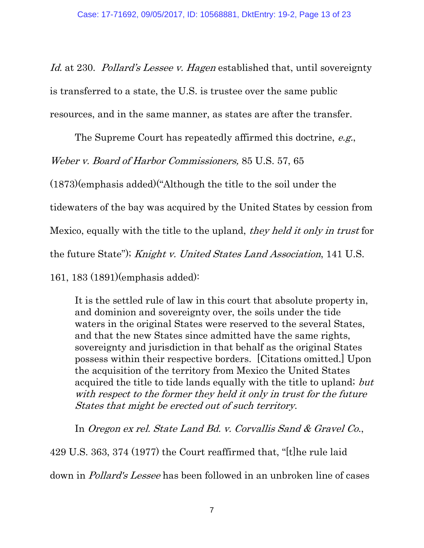Id. at 230. Pollard's Lessee v. Hagen established that, until sovereignty is transferred to a state, the U.S. is trustee over the same public resources, and in the same manner, as states are after the transfer.

The Supreme Court has repeatedly affirmed this doctrine, e.g.,

Weber v. Board of Harbor Commissioners, 85 U.S. 57, 65

(1873)(emphasis added)("Although the title to the soil under the

tidewaters of the bay was acquired by the United States by cession from

Mexico, equally with the title to the upland, they held it only in trust for

the future State"); Knight v. United States Land Association, 141 U.S.

161, 183 (1891)(emphasis added):

It is the settled rule of law in this court that absolute property in, and dominion and sovereignty over, the soils under the tide waters in the original States were reserved to the several States, and that the new States since admitted have the same rights, sovereignty and jurisdiction in that behalf as the original States possess within their respective borders. [Citations omitted.] Upon the acquisition of the territory from Mexico the United States acquired the title to tide lands equally with the title to upland; but with respect to the former they held it only in trust for the future States that might be erected out of such territory.

In Oregon ex rel. State Land Bd. v. Corvallis Sand & Gravel Co.,

429 U.S. 363, 374 (1977) the Court reaffirmed that, "[t]he rule laid down in Pollard's Lessee has been followed in an unbroken line of cases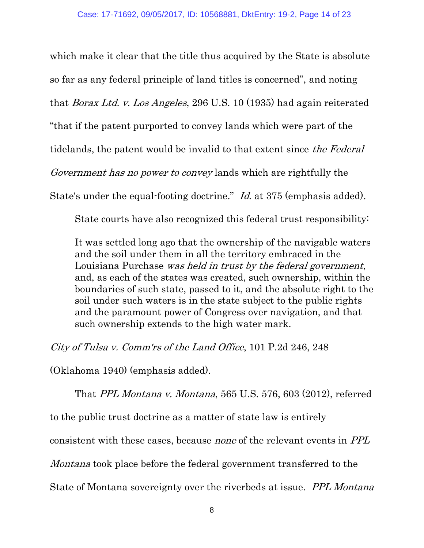which make it clear that the title thus acquired by the State is absolute so far as any federal principle of land titles is concerned", and noting that Borax Ltd. v. Los Angeles, 296 U.S. 10 (1935) had again reiterated "that if the patent purported to convey lands which were part of the tidelands, the patent would be invalid to that extent since the Federal Government has no power to convey lands which are rightfully the State's under the equal-footing doctrine." *Id.* at 375 (emphasis added).

State courts have also recognized this federal trust responsibility:

It was settled long ago that the ownership of the navigable waters and the soil under them in all the territory embraced in the Louisiana Purchase was held in trust by the federal government, and, as each of the states was created, such ownership, within the boundaries of such state, passed to it, and the absolute right to the soil under such waters is in the state subject to the public rights and the paramount power of Congress over navigation, and that such ownership extends to the high water mark.

City of Tulsa v. Comm'rs of the Land Office, 101 P.2d 246, 248

(Oklahoma 1940) (emphasis added).

That PPL Montana v. Montana, 565 U.S. 576, 603 (2012), referred to the public trust doctrine as a matter of state law is entirely consistent with these cases, because none of the relevant events in PPL Montana took place before the federal government transferred to the

State of Montana sovereignty over the riverbeds at issue. PPL Montana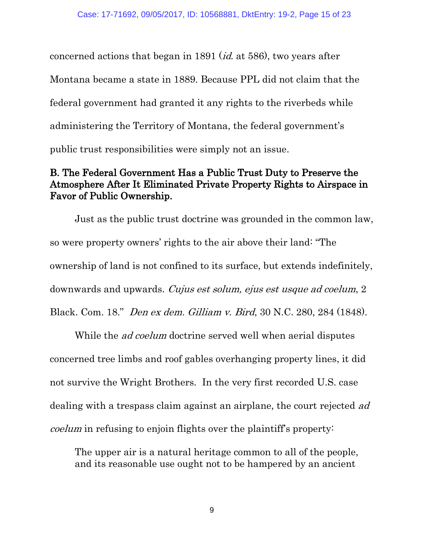concerned actions that began in 1891 (id. at 586), two years after Montana became a state in 1889. Because PPL did not claim that the federal government had granted it any rights to the riverbeds while administering the Territory of Montana, the federal government's public trust responsibilities were simply not an issue.

## B. The Federal Government Has a Public Trust Duty to Preserve the Atmosphere After It Eliminated Private Property Rights to Airspace in Favor of Public Ownership.

Just as the public trust doctrine was grounded in the common law, so were property owners' rights to the air above their land: "The ownership of land is not confined to its surface, but extends indefinitely, downwards and upwards. *Cujus est solum, ejus est usque ad coelum*, 2 Black. Com. 18." Den ex dem. Gilliam v. Bird, 30 N.C. 280, 284 (1848).

While the *ad coelum* doctrine served well when aerial disputes concerned tree limbs and roof gables overhanging property lines, it did not survive the Wright Brothers. In the very first recorded U.S. case dealing with a trespass claim against an airplane, the court rejected ad coelum in refusing to enjoin flights over the plaintiff's property:

The upper air is a natural heritage common to all of the people, and its reasonable use ought not to be hampered by an ancient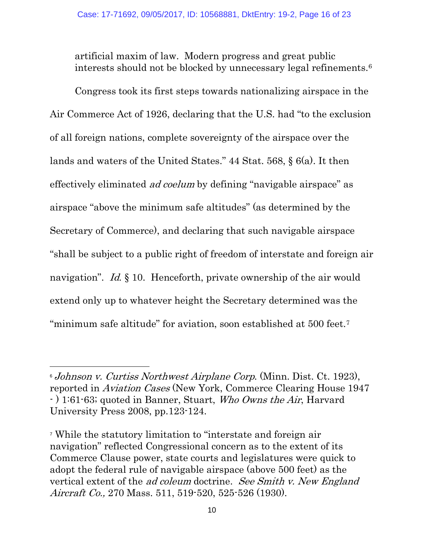artificial maxim of law. Modern progress and great public interests should not be blocked by unnecessary legal refinements.<sup>6</sup>

Congress took its first steps towards nationalizing airspace in the Air Commerce Act of 1926, declaring that the U.S. had "to the exclusion of all foreign nations, complete sovereignty of the airspace over the lands and waters of the United States." 44 Stat. 568, § 6(a). It then effectively eliminated ad coelum by defining "navigable airspace" as airspace "above the minimum safe altitudes" (as determined by the Secretary of Commerce), and declaring that such navigable airspace "shall be subject to a public right of freedom of interstate and foreign air navigation". *Id.* § 10. Henceforth, private ownership of the air would extend only up to whatever height the Secretary determined was the "minimum safe altitude" for aviation, soon established at 500 feet.<sup>7</sup>

<sup>6</sup> Johnson v. Curtiss Northwest Airplane Corp. (Minn. Dist. Ct. 1923), reported in Aviation Cases (New York, Commerce Clearing House 1947 - ) 1:61-63; quoted in Banner, Stuart, Who Owns the Air, Harvard University Press 2008, pp.123-124.

<sup>7</sup> While the statutory limitation to "interstate and foreign air navigation" reflected Congressional concern as to the extent of its Commerce Clause power, state courts and legislatures were quick to adopt the federal rule of navigable airspace (above 500 feet) as the vertical extent of the ad coleum doctrine. See Smith v. New England Aircraft Co., 270 Mass. 511, 519-520, 525-526 (1930).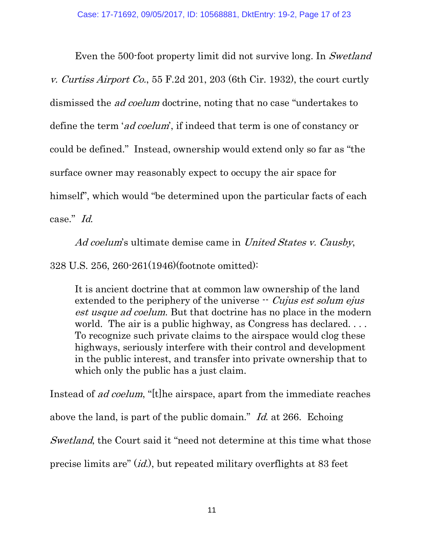Even the 500-foot property limit did not survive long. In Swetland v. Curtiss Airport Co., 55 F.2d 201, 203 (6th Cir. 1932), the court curtly dismissed the ad coelum doctrine, noting that no case "undertakes to define the term 'ad coelum', if indeed that term is one of constancy or could be defined." Instead, ownership would extend only so far as "the surface owner may reasonably expect to occupy the air space for himself", which would "be determined upon the particular facts of each case." Id.

Ad coelum's ultimate demise came in United States v. Causby, 328 U.S. 256, 260-261(1946)(footnote omitted):

It is ancient doctrine that at common law ownership of the land extended to the periphery of the universe  $\cdot$  Cujus est solum ejus est usque ad coelum. But that doctrine has no place in the modern world. The air is a public highway, as Congress has declared... To recognize such private claims to the airspace would clog these highways, seriously interfere with their control and development in the public interest, and transfer into private ownership that to which only the public has a just claim.

Instead of ad coelum, "[t]he airspace, apart from the immediate reaches above the land, is part of the public domain." Id. at 266. Echoing Swetland, the Court said it "need not determine at this time what those precise limits are" (id.), but repeated military overflights at 83 feet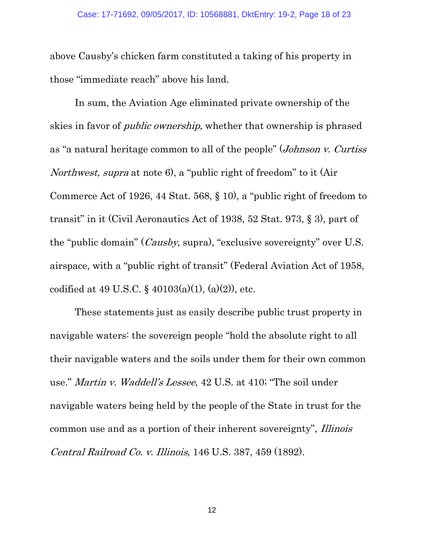above Causby's chicken farm constituted a taking of his property in those "immediate reach" above his land.

In sum, the Aviation Age eliminated private ownership of the skies in favor of *public ownership*, whether that ownership is phrased as "a natural heritage common to all of the people" (Johnson v. Curtiss Northwest, supra at note 6), a "public right of freedom" to it (Air Commerce Act of 1926, 44 Stat. 568, § 10), a "public right of freedom to transit" in it (Civil Aeronautics Act of 1938, 52 Stat. 973, § 3), part of the "public domain" (Causby, supra), "exclusive sovereignty" over U.S. airspace, with a "public right of transit" (Federal Aviation Act of 1958, codified at 49 U.S.C. §  $40103(a)(1)$ ,  $(a)(2)$ ), etc.

These statements just as easily describe public trust property in navigable waters: the sovereign people "hold the absolute right to all their navigable waters and the soils under them for their own common use." Martin v. Waddell's Lessee, 42 U.S. at 410; "The soil under navigable waters being held by the people of the State in trust for the common use and as a portion of their inherent sovereignty", Illinois Central Railroad Co. v. Illinois, 146 U.S. 387, 459 (1892).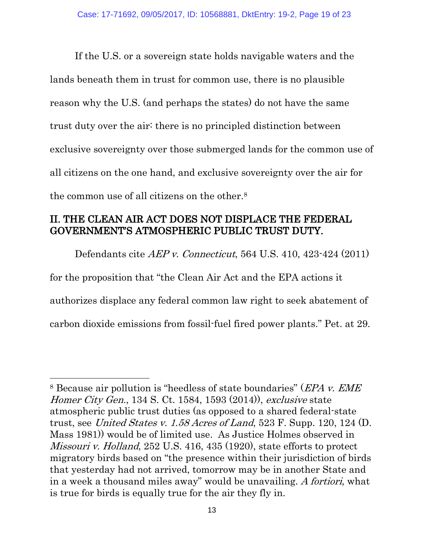If the U.S. or a sovereign state holds navigable waters and the lands beneath them in trust for common use, there is no plausible reason why the U.S. (and perhaps the states) do not have the same trust duty over the air: there is no principled distinction between exclusive sovereignty over those submerged lands for the common use of all citizens on the one hand, and exclusive sovereignty over the air for the common use of all citizens on the other.<sup>8</sup>

## II. THE CLEAN AIR ACT DOES NOT DISPLACE THE FEDERAL GOVERNMENT'S ATMOSPHERIC PUBLIC TRUST DUTY.

Defendants cite AEP v. Connecticut, 564 U.S. 410, 423-424 (2011) for the proposition that "the Clean Air Act and the EPA actions it authorizes displace any federal common law right to seek abatement of carbon dioxide emissions from fossil-fuel fired power plants." Pet. at 29.

<sup>8</sup> Because air pollution is "heedless of state boundaries" (EPA v. EME Homer City Gen., 134 S. Ct. 1584, 1593 (2014)), exclusive state atmospheric public trust duties (as opposed to a shared federal-state trust, see United States v. 1.58 Acres of Land, 523 F. Supp. 120, 124  $(D,$ Mass 1981)) would be of limited use. As Justice Holmes observed in Missouri v. Holland, 252 U.S. 416, 435 (1920), state efforts to protect migratory birds based on "the presence within their jurisdiction of birds that yesterday had not arrived, tomorrow may be in another State and in a week a thousand miles away" would be unavailing. A fortiori, what is true for birds is equally true for the air they fly in.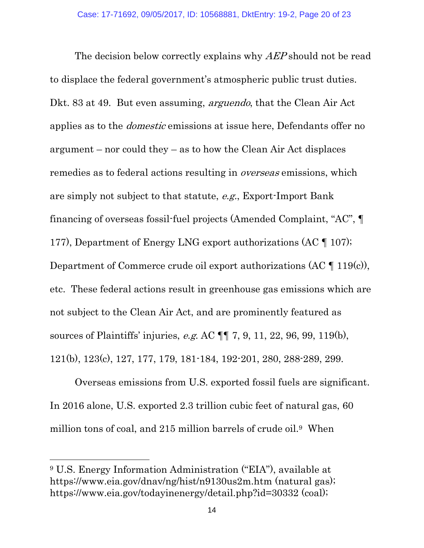The decision below correctly explains why AEP should not be read to displace the federal government's atmospheric public trust duties. Dkt. 83 at 49. But even assuming, *arguendo*, that the Clean Air Act applies as to the domestic emissions at issue here, Defendants offer no argument – nor could they – as to how the Clean Air Act displaces remedies as to federal actions resulting in *overseas* emissions, which are simply not subject to that statute, e.g., Export-Import Bank financing of overseas fossil-fuel projects (Amended Complaint, "AC", ¶ 177), Department of Energy LNG export authorizations (AC ¶ 107); Department of Commerce crude oil export authorizations (AC  $\P$  119(c)), etc. These federal actions result in greenhouse gas emissions which are not subject to the Clean Air Act, and are prominently featured as sources of Plaintiffs' injuries, e.g. AC ¶¶ 7, 9, 11, 22, 96, 99, 119(b), 121(b), 123(c), 127, 177, 179, 181-184, 192-201, 280, 288-289, 299.

Overseas emissions from U.S. exported fossil fuels are significant. In 2016 alone, U.S. exported 2.3 trillion cubic feet of natural gas, 60 million tons of coal, and 215 million barrels of crude oil.9 When

<sup>9</sup> U.S. Energy Information Administration ("EIA"), available at https://www.eia.gov/dnav/ng/hist/n9130us2m.htm (natural gas); https://www.eia.gov/todayinenergy/detail.php?id=30332 (coal);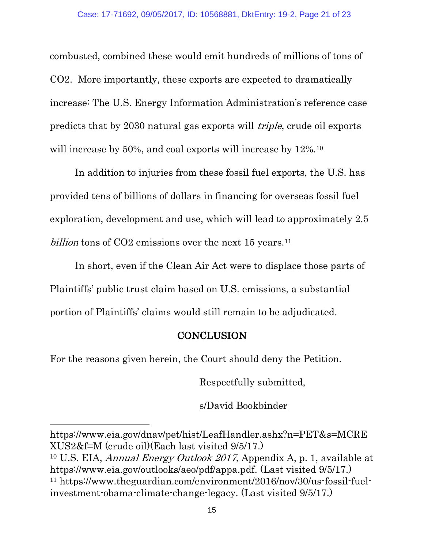combusted, combined these would emit hundreds of millions of tons of CO2. More importantly, these exports are expected to dramatically increase: The U.S. Energy Information Administration's reference case predicts that by 2030 natural gas exports will triple, crude oil exports will increase by 50%, and coal exports will increase by  $12\%$ .<sup>10</sup>

In addition to injuries from these fossil fuel exports, the U.S. has provided tens of billions of dollars in financing for overseas fossil fuel exploration, development and use, which will lead to approximately 2.5 billion tons of CO2 emissions over the next 15 years.<sup>11</sup>

In short, even if the Clean Air Act were to displace those parts of Plaintiffs' public trust claim based on U.S. emissions, a substantial portion of Plaintiffs' claims would still remain to be adjudicated.

## **CONCLUSION**

For the reasons given herein, the Court should deny the Petition.

Respectfully submitted,

s/David Bookbinder

https://www.eia.gov/dnav/pet/hist/LeafHandler.ashx?n=PET&s=MCRE XUS2&f=M (crude oil)(Each last visited 9/5/17.)

<sup>10</sup> U.S. EIA, Annual Energy Outlook <sup>2017</sup>, Appendix A, p. 1, available at https://www.eia.gov/outlooks/aeo/pdf/appa.pdf. (Last visited 9/5/17.) <sup>11</sup> https://www.theguardian.com/environment/2016/nov/30/us-fossil-fuelinvestment-obama-climate-change-legacy. (Last visited 9/5/17.)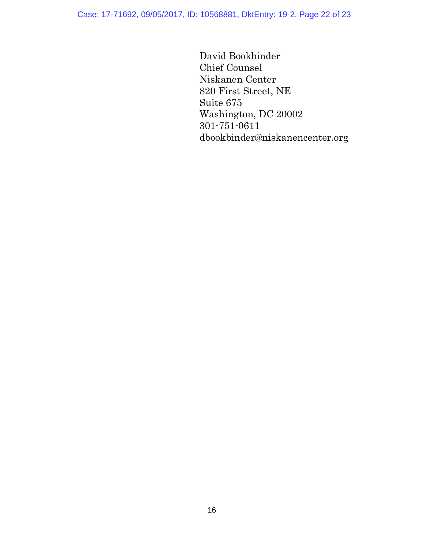Case: 17-71692, 09/05/2017, ID: 10568881, DktEntry: 19-2, Page 22 of 23

David Bookbinder Chief Counsel Niskanen Center 820 First Street, NE Suite 675 Washington, DC 20002 301-751-0611 dbookbinder@niskanencenter.org